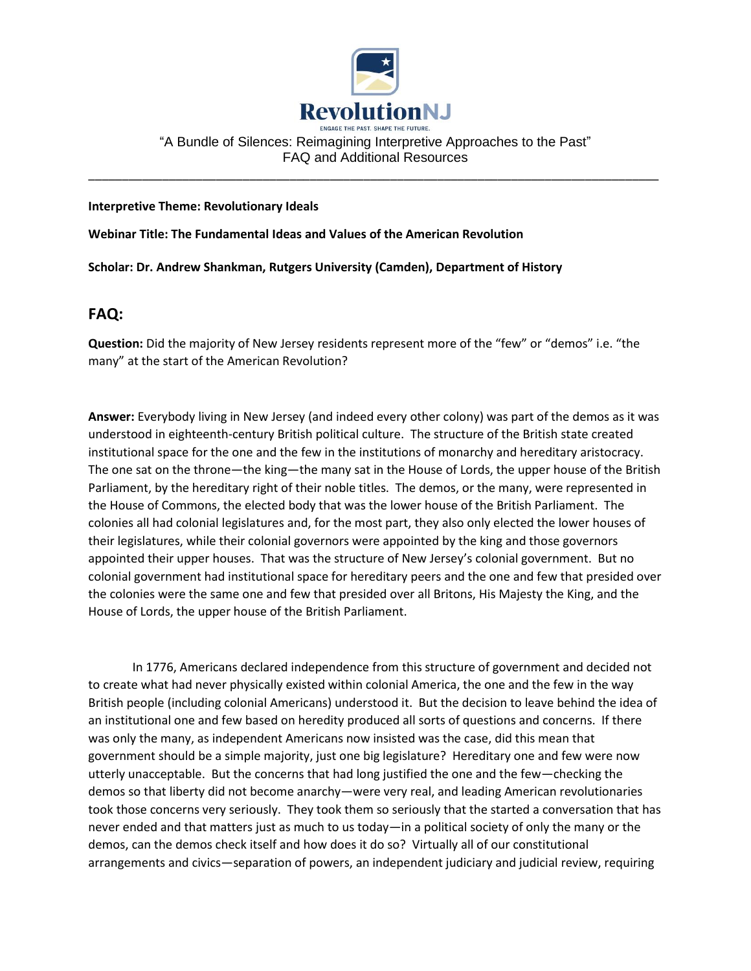

"A Bundle of Silences: Reimagining Interpretive Approaches to the Past" FAQ and Additional Resources

\_\_\_\_\_\_\_\_\_\_\_\_\_\_\_\_\_\_\_\_\_\_\_\_\_\_\_\_\_\_\_\_\_\_\_\_\_\_\_\_\_\_\_\_\_\_\_\_\_\_\_\_\_\_\_\_\_\_\_\_\_\_\_\_\_\_\_\_\_\_\_\_\_\_\_\_\_\_\_\_\_\_\_\_\_

#### **Interpretive Theme: Revolutionary Ideals**

**Webinar Title: The Fundamental Ideas and Values of the American Revolution**

**Scholar: Dr. Andrew Shankman, Rutgers University (Camden), Department of History**

# **FAQ:**

**Question:** Did the majority of New Jersey residents represent more of the "few" or "demos" i.e. "the many" at the start of the American Revolution?

**Answer:** Everybody living in New Jersey (and indeed every other colony) was part of the demos as it was understood in eighteenth-century British political culture. The structure of the British state created institutional space for the one and the few in the institutions of monarchy and hereditary aristocracy. The one sat on the throne—the king—the many sat in the House of Lords, the upper house of the British Parliament, by the hereditary right of their noble titles. The demos, or the many, were represented in the House of Commons, the elected body that was the lower house of the British Parliament. The colonies all had colonial legislatures and, for the most part, they also only elected the lower houses of their legislatures, while their colonial governors were appointed by the king and those governors appointed their upper houses. That was the structure of New Jersey's colonial government. But no colonial government had institutional space for hereditary peers and the one and few that presided over the colonies were the same one and few that presided over all Britons, His Majesty the King, and the House of Lords, the upper house of the British Parliament.

In 1776, Americans declared independence from this structure of government and decided not to create what had never physically existed within colonial America, the one and the few in the way British people (including colonial Americans) understood it. But the decision to leave behind the idea of an institutional one and few based on heredity produced all sorts of questions and concerns. If there was only the many, as independent Americans now insisted was the case, did this mean that government should be a simple majority, just one big legislature? Hereditary one and few were now utterly unacceptable. But the concerns that had long justified the one and the few—checking the demos so that liberty did not become anarchy—were very real, and leading American revolutionaries took those concerns very seriously. They took them so seriously that the started a conversation that has never ended and that matters just as much to us today—in a political society of only the many or the demos, can the demos check itself and how does it do so? Virtually all of our constitutional arrangements and civics—separation of powers, an independent judiciary and judicial review, requiring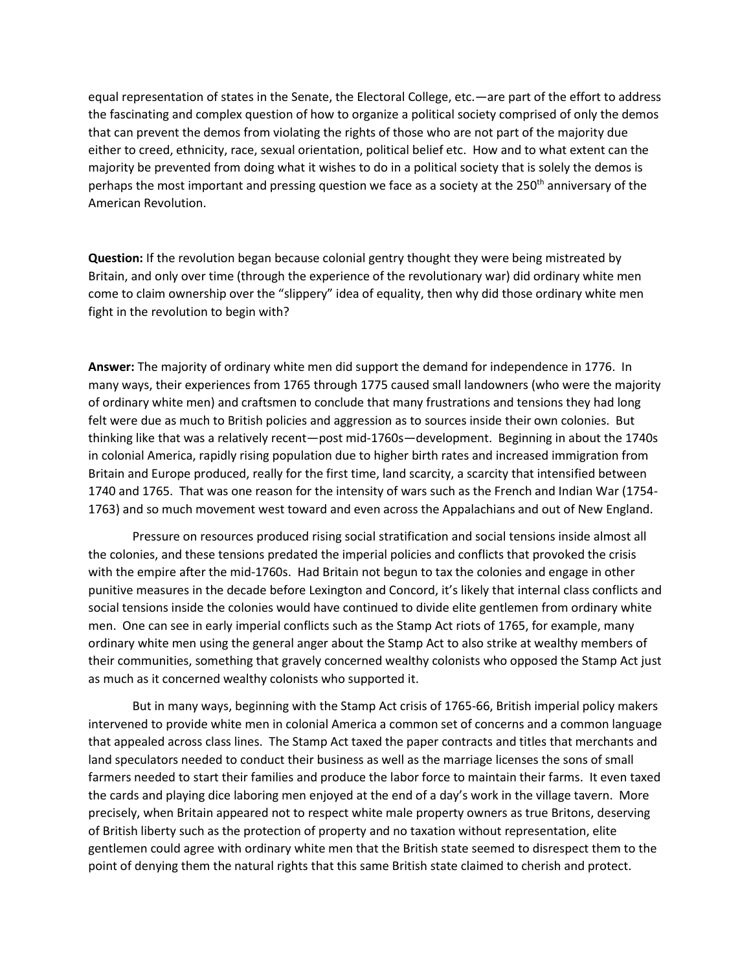equal representation of states in the Senate, the Electoral College, etc.—are part of the effort to address the fascinating and complex question of how to organize a political society comprised of only the demos that can prevent the demos from violating the rights of those who are not part of the majority due either to creed, ethnicity, race, sexual orientation, political belief etc. How and to what extent can the majority be prevented from doing what it wishes to do in a political society that is solely the demos is perhaps the most important and pressing question we face as a society at the 250th anniversary of the American Revolution.

**Question:** If the revolution began because colonial gentry thought they were being mistreated by Britain, and only over time (through the experience of the revolutionary war) did ordinary white men come to claim ownership over the "slippery" idea of equality, then why did those ordinary white men fight in the revolution to begin with?

**Answer:** The majority of ordinary white men did support the demand for independence in 1776. In many ways, their experiences from 1765 through 1775 caused small landowners (who were the majority of ordinary white men) and craftsmen to conclude that many frustrations and tensions they had long felt were due as much to British policies and aggression as to sources inside their own colonies. But thinking like that was a relatively recent—post mid-1760s—development. Beginning in about the 1740s in colonial America, rapidly rising population due to higher birth rates and increased immigration from Britain and Europe produced, really for the first time, land scarcity, a scarcity that intensified between 1740 and 1765. That was one reason for the intensity of wars such as the French and Indian War (1754- 1763) and so much movement west toward and even across the Appalachians and out of New England.

Pressure on resources produced rising social stratification and social tensions inside almost all the colonies, and these tensions predated the imperial policies and conflicts that provoked the crisis with the empire after the mid-1760s. Had Britain not begun to tax the colonies and engage in other punitive measures in the decade before Lexington and Concord, it's likely that internal class conflicts and social tensions inside the colonies would have continued to divide elite gentlemen from ordinary white men. One can see in early imperial conflicts such as the Stamp Act riots of 1765, for example, many ordinary white men using the general anger about the Stamp Act to also strike at wealthy members of their communities, something that gravely concerned wealthy colonists who opposed the Stamp Act just as much as it concerned wealthy colonists who supported it.

But in many ways, beginning with the Stamp Act crisis of 1765-66, British imperial policy makers intervened to provide white men in colonial America a common set of concerns and a common language that appealed across class lines. The Stamp Act taxed the paper contracts and titles that merchants and land speculators needed to conduct their business as well as the marriage licenses the sons of small farmers needed to start their families and produce the labor force to maintain their farms. It even taxed the cards and playing dice laboring men enjoyed at the end of a day's work in the village tavern. More precisely, when Britain appeared not to respect white male property owners as true Britons, deserving of British liberty such as the protection of property and no taxation without representation, elite gentlemen could agree with ordinary white men that the British state seemed to disrespect them to the point of denying them the natural rights that this same British state claimed to cherish and protect.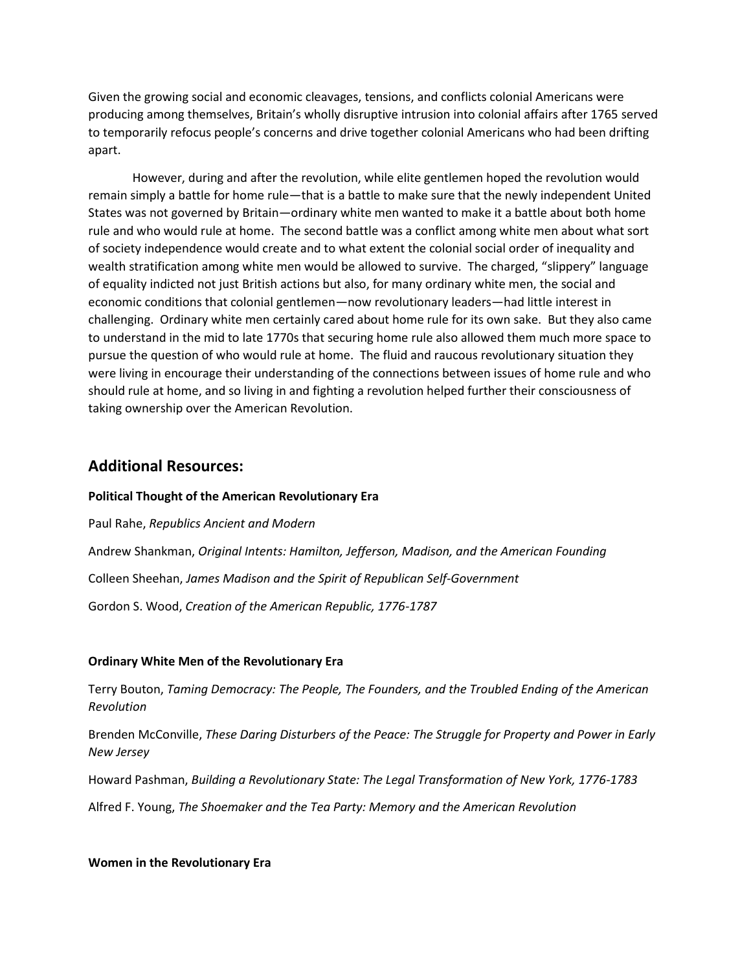Given the growing social and economic cleavages, tensions, and conflicts colonial Americans were producing among themselves, Britain's wholly disruptive intrusion into colonial affairs after 1765 served to temporarily refocus people's concerns and drive together colonial Americans who had been drifting apart.

However, during and after the revolution, while elite gentlemen hoped the revolution would remain simply a battle for home rule—that is a battle to make sure that the newly independent United States was not governed by Britain—ordinary white men wanted to make it a battle about both home rule and who would rule at home. The second battle was a conflict among white men about what sort of society independence would create and to what extent the colonial social order of inequality and wealth stratification among white men would be allowed to survive. The charged, "slippery" language of equality indicted not just British actions but also, for many ordinary white men, the social and economic conditions that colonial gentlemen—now revolutionary leaders—had little interest in challenging. Ordinary white men certainly cared about home rule for its own sake. But they also came to understand in the mid to late 1770s that securing home rule also allowed them much more space to pursue the question of who would rule at home. The fluid and raucous revolutionary situation they were living in encourage their understanding of the connections between issues of home rule and who should rule at home, and so living in and fighting a revolution helped further their consciousness of taking ownership over the American Revolution.

## **Additional Resources:**

#### **Political Thought of the American Revolutionary Era**

Paul Rahe, *Republics Ancient and Modern* Andrew Shankman, *Original Intents: Hamilton, Jefferson, Madison, and the American Founding* Colleen Sheehan, *James Madison and the Spirit of Republican Self-Government* Gordon S. Wood, *Creation of the American Republic, 1776-1787*

#### **Ordinary White Men of the Revolutionary Era**

Terry Bouton, *Taming Democracy: The People, The Founders, and the Troubled Ending of the American Revolution*

Brenden McConville, *These Daring Disturbers of the Peace: The Struggle for Property and Power in Early New Jersey*

Howard Pashman, *Building a Revolutionary State: The Legal Transformation of New York, 1776-1783*

Alfred F. Young, *The Shoemaker and the Tea Party: Memory and the American Revolution*

#### **Women in the Revolutionary Era**